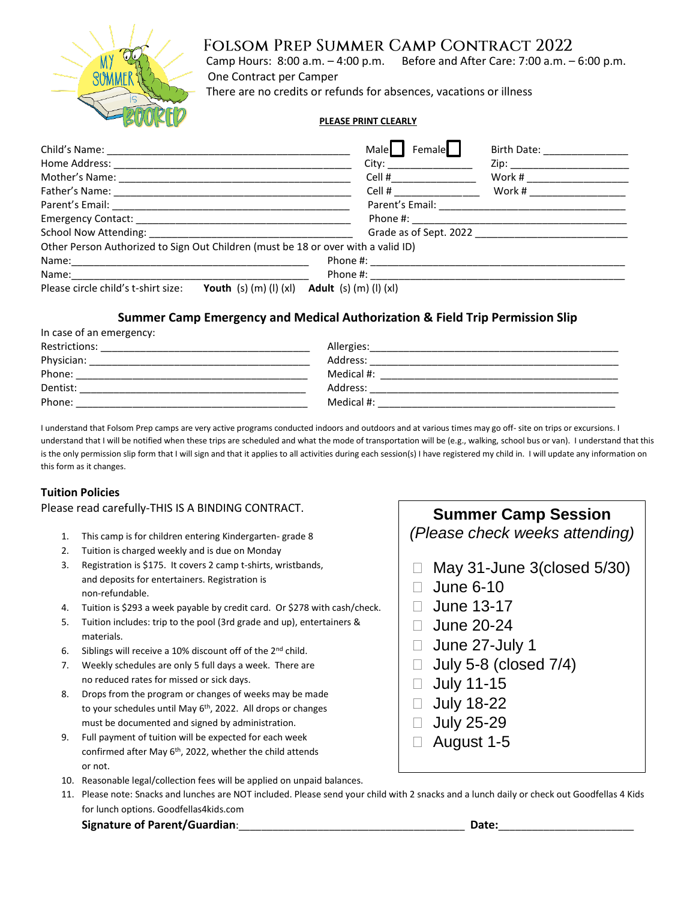

### Folsom Prep Summer Camp Contract 2022

 Camp Hours: 8:00 a.m. – 4:00 p.m. Before and After Care: 7:00 a.m. – 6:00 p.m. One Contract per Camper

There are no credits or refunds for absences, vacations or illness

#### **PLEASE PRINT CLEARLY**

|                                                                                   | Female<br>Male                                                                                                                                                                                                                 | Birth Date: <u>____________</u>                                                                                                                                                                                                |
|-----------------------------------------------------------------------------------|--------------------------------------------------------------------------------------------------------------------------------------------------------------------------------------------------------------------------------|--------------------------------------------------------------------------------------------------------------------------------------------------------------------------------------------------------------------------------|
|                                                                                   | City: the contract of the contract of the contract of the contract of the contract of the contract of the contract of the contract of the contract of the contract of the contract of the contract of the contract of the cont | Zip: the contract of the contract of the contract of the contract of the contract of the contract of the contract of the contract of the contract of the contract of the contract of the contract of the contract of the contr |
|                                                                                   | Cell # $\qquad \qquad$                                                                                                                                                                                                         | Work #                                                                                                                                                                                                                         |
|                                                                                   | Cell # __________________                                                                                                                                                                                                      | Work # ______________                                                                                                                                                                                                          |
|                                                                                   | Parent's Email: _________________                                                                                                                                                                                              |                                                                                                                                                                                                                                |
|                                                                                   |                                                                                                                                                                                                                                |                                                                                                                                                                                                                                |
|                                                                                   | Grade as of Sept. 2022                                                                                                                                                                                                         |                                                                                                                                                                                                                                |
| Other Person Authorized to Sign Out Children (must be 18 or over with a valid ID) |                                                                                                                                                                                                                                |                                                                                                                                                                                                                                |
|                                                                                   |                                                                                                                                                                                                                                |                                                                                                                                                                                                                                |
|                                                                                   | Phone #:                                                                                                                                                                                                                       |                                                                                                                                                                                                                                |
| Please circle child's t-shirt size:<br><b>Youth</b> (s) $(m)$ (l) $(x)$           | Adult $(s)$ $(m)$ $(l)$ $(xl)$                                                                                                                                                                                                 |                                                                                                                                                                                                                                |

#### **Summer Camp Emergency and Medical Authorization & Field Trip Permission Slip**

| $\ldots$ case of all ennergency. |            |  |
|----------------------------------|------------|--|
| Restrictions:                    | Allergies: |  |
| Physician:                       | Address:   |  |
| Phone:                           | Medical #: |  |
| Dentist:                         | Address:   |  |
| Phone:                           | Medical #: |  |
|                                  |            |  |

I understand that Folsom Prep camps are very active programs conducted indoors and outdoors and at various times may go off- site on trips or excursions. I understand that I will be notified when these trips are scheduled and what the mode of transportation will be (e.g., walking, school bus or van). I understand that this is the only permission slip form that I will sign and that it applies to all activities during each session(s) I have registered my child in. I will update any information on this form as it changes.

#### **Tuition Policies**

In case of an emergency:

#### Please read carefully-THIS IS A BINDING CONTRACT.

- 1. This camp is for children entering Kindergarten- grade 8
- 2. Tuition is charged weekly and is due on Monday
- 3. Registration is \$175. It covers 2 camp t-shirts, wristbands, and deposits for entertainers. Registration is non-refundable.
- 4. Tuition is \$293 a week payable by credit card. Or \$278 with cash/check.
- 5. Tuition includes: trip to the pool (3rd grade and up), entertainers & materials.
- 6. Siblings will receive a 10% discount off of the 2nd child.
- 7. Weekly schedules are only 5 full days a week. There are no reduced rates for missed or sick days.
- 8. Drops from the program or changes of weeks may be made to your schedules until May 6<sup>th</sup>, 2022. All drops or changes must be documented and signed by administration.
- 9. Full payment of tuition will be expected for each week confirmed after May 6<sup>th</sup>, 2022, whether the child attends or not.
- 10. Reasonable legal/collection fees will be applied on unpaid balances.
- 11. Please note: Snacks and lunches are NOT included. Please send your child with 2 snacks and a lunch daily or check out Goodfellas 4 Kids for lunch options. Goodfellas4kids.com

**Signature of Parent/Guardian**:\_\_\_\_\_\_\_\_\_\_\_\_\_\_\_\_\_\_\_\_\_\_\_\_\_\_\_\_\_\_\_\_\_\_\_\_\_\_\_\_ **Date:**\_\_\_\_\_\_\_\_\_\_\_\_\_\_\_\_\_\_\_\_\_\_\_\_

## **Summer Camp Session** *(Please check weeks attending)*

- $\Box$  May 31-June 3(closed 5/30)
- $\Box$  June 6-10
- $\Box$  June 13-17
- $\Box$  June 20-24
- $\Box$  June 27-July 1
- $\Box$  July 5-8 (closed 7/4)
- $\Box$  July 11-15
- □ July 18-22
- □ July 25-29
- August 1-5